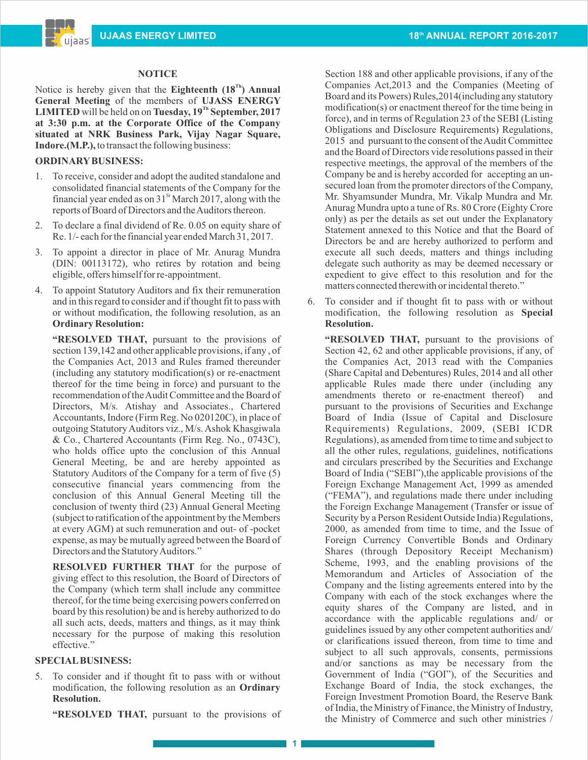### **NOTICE**

Notice is hereby given that the **Eighteenth**  $(18<sup>Th</sup>)$  **Annual General Meeting** of the members of **UJASS ENERGY LIMITED** will be held on on **Tuesday**,  $19^{Th}$  **September, 2017 at 3:30 p.m. at the Corporate Office of the Company situated at NRK Business Park, Vijay Nagar Square, Indore.(M.P.),** to transact the following business:

## **ORDINARYBUSINESS:**

ujaas

- 1. To receive, consider and adopt the audited standalone and consolidated financial statements of the Company for the financial year ended as on  $31<sup>st</sup>$  March 2017, along with the reports of Board of Directors and the Auditors thereon.
- 2. To declare a final dividend of Re. 0.05 on equity share of Re. 1/- each for the financial year ended March 31, 2017.
- 3. To appoint a director in place of Mr. Anurag Mundra (DIN: 00113172), who retires by rotation and being eligible, offers himself for re-appointment.
- 4. To appoint Statutory Auditors and fix their remuneration and in this regard to consider and if thought fit to pass with or without modification, the following resolution, as an **Ordinary Resolution:**

**"RESOLVED THAT, pursuant to the provisions of** section 139,142 and other applicable provisions, if any , of the Companies Act, 2013 and Rules framed thereunder (including any statutory modification(s) or re-enactment thereof for the time being in force) and pursuant to the recommendation of the Audit Committee and the Board of Directors, M/s. Atishay and Associates., Chartered Accountants, Indore (Firm Reg. No 020120C), in place of outgoing Statutory Auditors viz., M/s. Ashok Khasgiwala & Co., Chartered Accountants (Firm Reg. No., 0743C), who holds office upto the conclusion of this Annual General Meeting, be and are hereby appointed as Statutory Auditors of the Company for a term of five (5) consecutive financial years commencing from the conclusion of this Annual General Meeting till the conclusion of twenty third (23) Annual General Meeting (subject to ratification of the appointment by the Members at every AGM) at such remuneration and out- of -pocket expense, as may be mutually agreed between the Board of Directors and the Statutory Auditors."

 **RESOLVED FURTHER THAT** for the purpose of giving effect to this resolution, the Board of Directors of the Company (which term shall include any committee thereof, for the time being exercising powers conferred on board by this resolution) be and is hereby authorized to do all such acts, deeds, matters and things, as it may think necessary for the purpose of making this resolution effective."

### **SPECIALBUSINESS:**

5. To consider and if thought fit to pass with or without modification, the following resolution as an **Ordinary Resolution.**

**"RESOLVED THAT,** pursuant to the provisions of

Section 188 and other applicable provisions, if any of the Companies Act,2013 and the Companies (Meeting of Board and its Powers) Rules,2014(including any statutory modification(s) or enactment thereof for the time being in force), and in terms of Regulation 23 of the SEBI (Listing Obligations and Disclosure Requirements) Regulations, 2015 and pursuant to the consent of the Audit Committee and the Board of Directors vide resolutions passed in their respective meetings, the approval of the members of the Company be and is hereby accorded for accepting an unsecured loan from the promoter directors of the Company, Mr. Shyamsunder Mundra, Mr. Vikalp Mundra and Mr. Anurag Mundra upto a tune of Rs. 80 Crore (Eighty Crore only) as per the details as set out under the Explanatory Statement annexed to this Notice and that the Board of Directors be and are hereby authorized to perform and execute all such deeds, matters and things including delegate such authority as may be deemed necessary or expedient to give effect to this resolution and for the matters connected therewith or incidental thereto."

6. To consider and if thought fit to pass with or without modification, the following resolution as **Special Resolution.**

**"RESOLVED THAT,** pursuant to the provisions of Section 42, 62 and other applicable provisions, if any, of the Companies Act, 2013 read with the Companies (Share Capital and Debentures) Rules, 2014 and all other applicable Rules made there under (including any amendments thereto or re-enactment thereof) and pursuant to the provisions of Securities and Exchange Board of India (Issue of Capital and Disclosure Requirements) Regulations, 2009, (SEBI ICDR Regulations), as amended from time to time and subject to all the other rules, regulations, guidelines, notifications and circulars prescribed by the Securities and Exchange Board of India ("SEBI"),the applicable provisions of the Foreign Exchange Management Act, 1999 as amended ("FEMA"), and regulations made there under including the Foreign Exchange Management (Transfer or issue of Security by a Person Resident Outside India) Regulations, 2000, as amended from time to time, and the Issue of Foreign Currency Convertible Bonds and Ordinary Shares (through Depository Receipt Mechanism) Scheme, 1993, and the enabling provisions of the Memorandum and Articles of Association of the Company and the listing agreements entered into by the Company with each of the stock exchanges where the equity shares of the Company are listed, and in accordance with the applicable regulations and/ or guidelines issued by any other competent authorities and/ or clarifications issued thereon, from time to time and subject to all such approvals, consents, permissions and/or sanctions as may be necessary from the Government of India ("GOI"), of the Securities and Exchange Board of India, the stock exchanges, the Foreign Investment Promotion Board, the Reserve Bank of India, the Ministry of Finance, the Ministry of Industry, the Ministry of Commerce and such other ministries /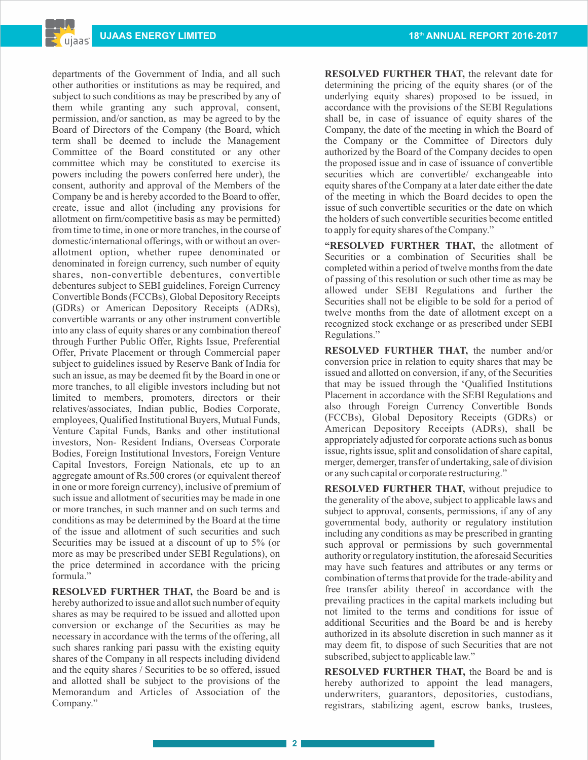departments of the Government of India, and all such other authorities or institutions as may be required, and subject to such conditions as may be prescribed by any of them while granting any such approval, consent, permission, and/or sanction, as may be agreed to by the Board of Directors of the Company (the Board, which term shall be deemed to include the Management Committee of the Board constituted or any other committee which may be constituted to exercise its powers including the powers conferred here under), the consent, authority and approval of the Members of the Company be and is hereby accorded to the Board to offer, create, issue and allot (including any provisions for allotment on firm/competitive basis as may be permitted) from time to time, in one or more tranches, in the course of domestic/international offerings, with or without an overallotment option, whether rupee denominated or denominated in foreign currency, such number of equity shares, non-convertible debentures, convertible debentures subject to SEBI guidelines, Foreign Currency Convertible Bonds (FCCBs), Global Depository Receipts (GDRs) or American Depository Receipts (ADRs), convertible warrants or any other instrument convertible into any class of equity shares or any combination thereof through Further Public Offer, Rights Issue, Preferential Offer, Private Placement or through Commercial paper subject to guidelines issued by Reserve Bank of India for such an issue, as may be deemed fit by the Board in one or more tranches, to all eligible investors including but not limited to members, promoters, directors or their relatives/associates, Indian public, Bodies Corporate, employees, Qualified Institutional Buyers, Mutual Funds, Venture Capital Funds, Banks and other institutional investors, Non- Resident Indians, Overseas Corporate Bodies, Foreign Institutional Investors, Foreign Venture Capital Investors, Foreign Nationals, etc up to an aggregate amount of Rs.500 crores (or equivalent thereof in one or more foreign currency), inclusive of premium of such issue and allotment of securities may be made in one or more tranches, in such manner and on such terms and conditions as may be determined by the Board at the time of the issue and allotment of such securities and such Securities may be issued at a discount of up to 5% (or more as may be prescribed under SEBI Regulations), on the price determined in accordance with the pricing formula."

**RESOLVED FURTHER THAT,** the Board be and is hereby authorized to issue and allot such number of equity shares as may be required to be issued and allotted upon conversion or exchange of the Securities as may be necessary in accordance with the terms of the offering, all such shares ranking pari passu with the existing equity shares of the Company in all respects including dividend and the equity shares / Securities to be so offered, issued and allotted shall be subject to the provisions of the Memorandum and Articles of Association of the Company."

**RESOLVED FURTHER THAT,** the relevant date for determining the pricing of the equity shares (or of the underlying equity shares) proposed to be issued, in accordance with the provisions of the SEBI Regulations shall be, in case of issuance of equity shares of the Company, the date of the meeting in which the Board of the Company or the Committee of Directors duly authorized by the Board of the Company decides to open the proposed issue and in case of issuance of convertible securities which are convertible/ exchangeable into equity shares of the Company at a later date either the date of the meeting in which the Board decides to open the issue of such convertible securities or the date on which the holders of such convertible securities become entitled to apply for equity shares of the Company."

**"RESOLVED FURTHER THAT,** the allotment of Securities or a combination of Securities shall be completed within a period of twelve months from the date of passing of this resolution or such other time as may be allowed under SEBI Regulations and further the Securities shall not be eligible to be sold for a period of twelve months from the date of allotment except on a recognized stock exchange or as prescribed under SEBI Regulations."

**RESOLVED FURTHER THAT,** the number and/or conversion price in relation to equity shares that may be issued and allotted on conversion, if any, of the Securities that may be issued through the 'Qualified Institutions Placement in accordance with the SEBI Regulations and also through Foreign Currency Convertible Bonds (FCCBs), Global Depository Receipts (GDRs) or American Depository Receipts (ADRs), shall be appropriately adjusted for corporate actions such as bonus issue, rights issue, split and consolidation of share capital, merger, demerger, transfer of undertaking, sale of division or any such capital or corporate restructuring."

**RESOLVED FURTHER THAT,** without prejudice to the generality of the above, subject to applicable laws and subject to approval, consents, permissions, if any of any governmental body, authority or regulatory institution including any conditions as may be prescribed in granting such approval or permissions by such governmental authority or regulatory institution, the aforesaid Securities may have such features and attributes or any terms or combination of terms that provide for the trade-ability and free transfer ability thereof in accordance with the prevailing practices in the capital markets including but not limited to the terms and conditions for issue of additional Securities and the Board be and is hereby authorized in its absolute discretion in such manner as it may deem fit, to dispose of such Securities that are not subscribed, subject to applicable law."

**RESOLVED FURTHER THAT,** the Board be and is hereby authorized to appoint the lead managers, underwriters, guarantors, depositories, custodians, registrars, stabilizing agent, escrow banks, trustees,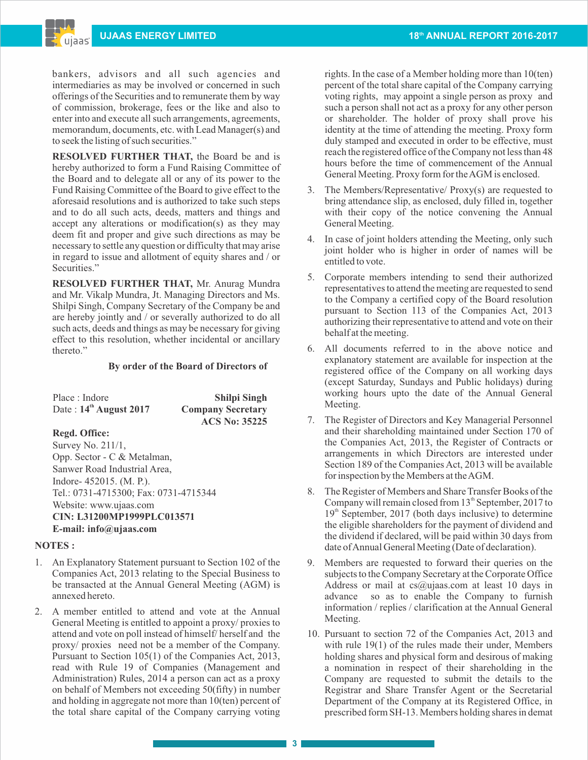bankers, advisors and all such agencies and intermediaries as may be involved or concerned in such offerings of the Securities and to remunerate them by way of commission, brokerage, fees or the like and also to enter into and execute all such arrangements, agreements, memorandum, documents, etc. with Lead Manager(s) and to seek the listing of such securities."

**RESOLVED FURTHER THAT,** the Board be and is hereby authorized to form a Fund Raising Committee of the Board and to delegate all or any of its power to the Fund Raising Committee of the Board to give effect to the aforesaid resolutions and is authorized to take such steps and to do all such acts, deeds, matters and things and accept any alterations or modification(s) as they may deem fit and proper and give such directions as may be necessary to settle any question or difficulty that may arise in regard to issue and allotment of equity shares and / or Securities."

**RESOLVED FURTHER THAT,** Mr. Anurag Mundra and Mr. Vikalp Mundra, Jt. Managing Directors and Ms. Shilpi Singh, Company Secretary of the Company be and are hereby jointly and / or severally authorized to do all such acts, deeds and things as may be necessary for giving effect to this resolution, whether incidental or ancillary thereto."

### **By order of the Board of Directors of**

| Place : Indore              | <b>Shilpi Singh</b>      |
|-----------------------------|--------------------------|
| Date: $14^{th}$ August 2017 | <b>Company Secretary</b> |
|                             | <b>ACS No: 35225</b>     |

## **Regd. Office:**

Survey No. 211/1, Opp. Sector - C & Metalman, Sanwer Road Industrial Area, Indore- 452015. (M. P.). Tel.: 0731-4715300; Fax: 0731-4715344 Website: www.ujaas.com **CIN: L31200MP1999PLC013571 E-mail: info@ujaas.com**

### **NOTES :**

- 1. An Explanatory Statement pursuant to Section 102 of the Companies Act, 2013 relating to the Special Business to be transacted at the Annual General Meeting (AGM) is annexed hereto.
- 2. A member entitled to attend and vote at the Annual General Meeting is entitled to appoint a proxy/ proxies to attend and vote on poll instead of himself/ herself and the proxy/ proxies need not be a member of the Company. Pursuant to Section 105(1) of the Companies Act, 2013, read with Rule 19 of Companies (Management and Administration) Rules, 2014 a person can act as a proxy on behalf of Members not exceeding 50(fifty) in number and holding in aggregate not more than 10(ten) percent of the total share capital of the Company carrying voting

rights. In the case of a Member holding more than 10(ten) percent of the total share capital of the Company carrying voting rights, may appoint a single person as proxy and such a person shall not act as a proxy for any other person or shareholder. The holder of proxy shall prove his identity at the time of attending the meeting. Proxy form duly stamped and executed in order to be effective, must reach the registered office of the Company not less than 48 hours before the time of commencement of the Annual General Meeting. Proxy form for the AGM is enclosed.

- 3. The Members/Representative/ Proxy(s) are requested to bring attendance slip, as enclosed, duly filled in, together with their copy of the notice convening the Annual General Meeting.
- 4. In case of joint holders attending the Meeting, only such joint holder who is higher in order of names will be entitled to vote.
- 5. Corporate members intending to send their authorized representatives to attend the meeting are requested to send to the Company a certified copy of the Board resolution pursuant to Section 113 of the Companies Act, 2013 authorizing their representative to attend and vote on their behalf at the meeting.
- 6. All documents referred to in the above notice and explanatory statement are available for inspection at the registered office of the Company on all working days (except Saturday, Sundays and Public holidays) during working hours upto the date of the Annual General Meeting.
- 7. The Register of Directors and Key Managerial Personnel and their shareholding maintained under Section 170 of the Companies Act, 2013, the Register of Contracts or arrangements in which Directors are interested under Section 189 of the Companies Act, 2013 will be available for inspection by the Members at the AGM.
- 8. The Register of Members and Share Transfer Books of the Company will remain closed from  $13<sup>th</sup>$  September, 2017 to  $19<sup>th</sup>$  September, 2017 (both days inclusive) to determine the eligible shareholders for the payment of dividend and the dividend if declared, will be paid within 30 days from date of Annual General Meeting (Date of declaration).
- 9. Members are requested to forward their queries on the subjects to the Company Secretary at the Corporate Office Address or mail at  $cs@$ ujaas.com at least 10 days in advance so as to enable the Company to furnish information / replies / clarification at the Annual General Meeting.
- 10. Pursuant to section 72 of the Companies Act, 2013 and with rule 19(1) of the rules made their under, Members holding shares and physical form and desirous of making a nomination in respect of their shareholding in the Company are requested to submit the details to the Registrar and Share Transfer Agent or the Secretarial Department of the Company at its Registered Office, in prescribed form SH-13. Members holding shares in demat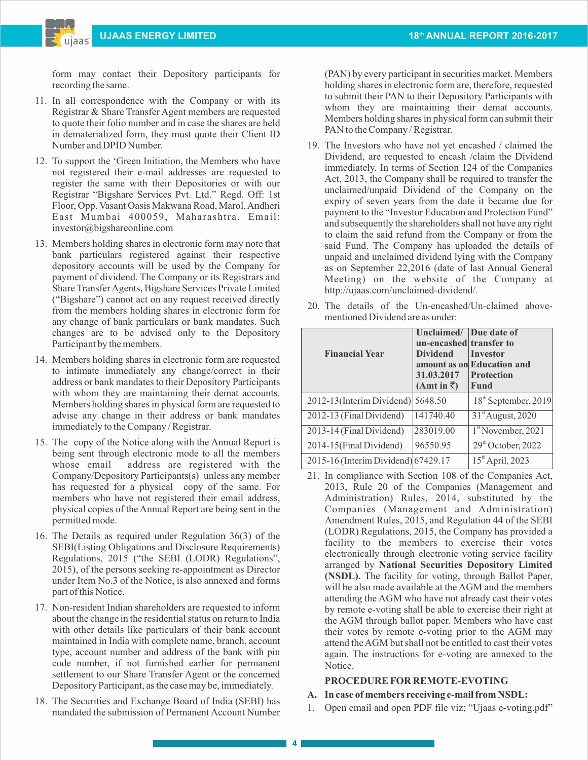form may contact their Depository participants for recording the same.

- 11. In all correspondence with the Company or with its Registrar & Share Transfer Agent members are requested to quote their folio number and in case the shares are held in dematerialized form, they must quote their Client ID Number and DPID Number.
- 12. To support the 'Green Initiation, the Members who have not registered their e-mail addresses are requested to register the same with their Depositories or with our Registrar "Bigshare Services Pvt. Ltd." Regd. Off: 1st Floor, Opp. Vasant Oasis Makwana Road, Marol, Andheri East Mumbai 400059, Maharashtra. Email: investor@bigshareonline.com
- 13. Members holding shares in electronic form may note that bank particulars registered against their respective depository accounts will be used by the Company for payment of dividend. The Company or its Registrars and Share Transfer Agents, Bigshare Services Private Limited ("Bigshare") cannot act on any request received directly from the members holding shares in electronic form for any change of bank particulars or bank mandates. Such changes are to be advised only to the Depository Participant by the members.
- 14. Members holding shares in electronic form are requested to intimate immediately any change/correct in their address or bank mandates to their Depository Participants with whom they are maintaining their demat accounts. Members holding shares in physical form are requested to advise any change in their address or bank mandates immediately to the Company / Registrar.
- 15. The copy of the Notice along with the Annual Report is being sent through electronic mode to all the members whose email address are registered with the Company/Depository Participants(s) unless any member has requested for a physical copy of the same. For members who have not registered their email address, physical copies of the Annual Report are being sent in the permitted mode.
- 16. The Details as required under Regulation 36(3) of the SEBI(Listing Obligations and Disclosure Requirements) Regulations, 2015 ("the SEBI (LODR) Regulations", 2015), of the persons seeking re-appointment as Director under Item No.3 of the Notice, is also annexed and forms part of this Notice.
- 17. Non-resident Indian shareholders are requested to inform about the change in the residential status on return to India with other details like particulars of their bank account maintained in India with complete name, branch, account type, account number and address of the bank with pin code number, if not furnished earlier for permanent settlement to our Share Transfer Agent or the concerned Depository Participant, as the case may be, immediately.
- 18. The Securities and Exchange Board of India (SEBI) has mandated the submission of Permanent Account Number

(PAN) by every participant in securities market. Members holding shares in electronic form are, therefore, requested to submit their PAN to their Depository Participants with whom they are maintaining their demat accounts. Members holding shares in physical form can submit their PAN to the Company / Registrar.

19. The Investors who have not yet encashed / claimed the Dividend, are requested to encash /claim the Dividend immediately. In terms of Section 124 of the Companies Act, 2013, the Company shall be required to transfer the unclaimed/unpaid Dividend of the Company on the expiry of seven years from the date it became due for payment to the "Investor Education and Protection Fund" and subsequently the shareholders shall not have any right to claim the said refund from the Company or from the said Fund. The Company has uploaded the details of unpaid and unclaimed dividend lying with the Company as on September 22,2016 (date of last Annual General Meeting) on the website of the Company at http://ujaas.com/unclaimed-dividend/.

20. The details of the Un-encashed/Un-claimed above-

mentioned Dividend are as under:

- **Unclaimed/ Due date of un-encashed** transfer to **Dividend** Investor **Financial Year amount as on Education and 31.03.2017 Protection**   $(Amt in \overline{\zeta})$  Fund 2012-13(Interim Dividend)  $|5648.50|$  18<sup>th</sup> September, 2019 2012-13 (Final Dividend)  $|141740.40|$   $|31^{\text{st}}$  August, 2020 2013-14 (Final Dividend)  $|283019.00|$   $|1^{\text{st}}$  November, 2021 2014-15(Final Dividend) 96550.95 29<sup>th</sup> October, 2022 2015-16 (Interim Dividend) 67429.17  $15<sup>th</sup>$  April, 2023
	- 21. In compliance with Section 108 of the Companies Act, 2013, Rule 20 of the Companies (Management and Administration) Rules, 2014, substituted by the Companies (Management and Administration) Amendment Rules, 2015, and Regulation 44 of the SEBI (LODR) Regulations, 2015, the Company has provided a facility to the members to exercise their votes electronically through electronic voting service facility arranged by **National Securities Depository Limited (NSDL).** The facility for voting, through Ballot Paper, will be also made available at the AGM and the members attending the AGM who have not already cast their votes by remote e-voting shall be able to exercise their right at the AGM through ballot paper. Members who have cast their votes by remote e-voting prior to the AGM may attend the AGM but shall not be entitled to cast their votes again. The instructions for e-voting are annexed to the Notice.

## **PROCEDURE FOR REMOTE-EVOTING**

## **A. In case of members receiving e-mail from NSDL:**

1. Open email and open PDF file viz; "Ujaas e-voting.pdf"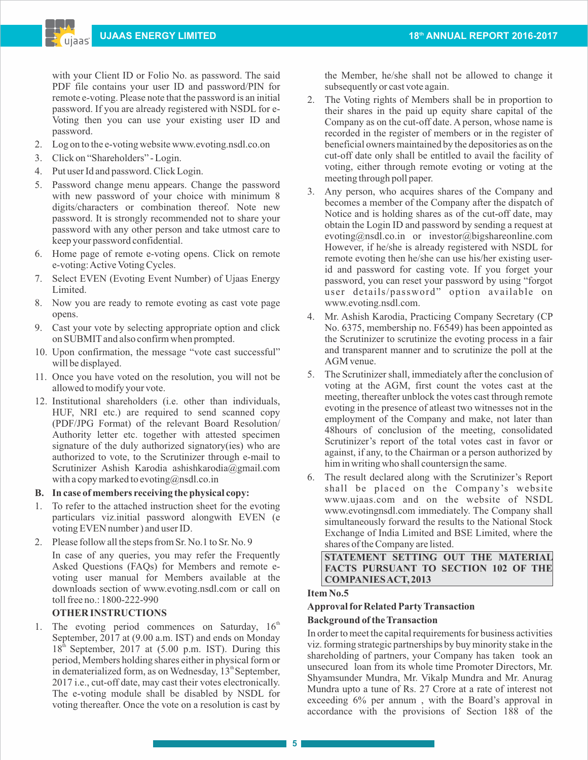with your Client ID or Folio No. as password. The said PDF file contains your user ID and password/PIN for remote e-voting. Please note that the password is an initial password. If you are already registered with NSDL for e-Voting then you can use your existing user ID and password.

- 2. Log on to the e-voting website www.evoting.nsdl.co.on
- 3. Click on "Shareholders" Login.
- 4. Put user Id and password. Click Login.
- 5. Password change menu appears. Change the password with new password of your choice with minimum 8 digits/characters or combination thereof. Note new password. It is strongly recommended not to share your password with any other person and take utmost care to keep your password confidential.
- 6. Home page of remote e-voting opens. Click on remote e-voting: Active Voting Cycles.
- 7. Select EVEN (Evoting Event Number) of Ujaas Energy Limited.
- 8. Now you are ready to remote evoting as cast vote page opens.
- 9. Cast your vote by selecting appropriate option and click on SUBMITand also confirm when prompted.
- 10. Upon confirmation, the message "vote cast successful" will be displayed.
- 11. Once you have voted on the resolution, you will not be allowed to modify your vote.
- 12. Institutional shareholders (i.e. other than individuals, HUF, NRI etc.) are required to send scanned copy (PDF/JPG Format) of the relevant Board Resolution/ Authority letter etc. together with attested specimen signature of the duly authorized signatory(ies) who are authorized to vote, to the Scrutinizer through e-mail to Scrutinizer Ashish Karodia ashishkarodia@gmail.com with a copy marked to evoting@nsdl.co.in

### **B. In case of members receiving the physical copy:**

- 1. To refer to the attached instruction sheet for the evoting particulars viz.initial password alongwith EVEN (e voting EVEN number ) and user ID.
- 2. Please follow all the steps from Sr. No.1 to Sr. No. 9 In case of any queries, you may refer the Frequently Asked Questions (FAQs) for Members and remote evoting user manual for Members available at the downloads section of www.evoting.nsdl.com or call on toll free no.: 1800-222-990

## **OTHER INSTRUCTIONS**

1. The evoting period commences on Saturday,  $16<sup>th</sup>$ September, 2017 at (9.00 a.m. IST) and ends on Monday  $18<sup>th</sup>$  September, 2017 at (5.00 p.m. IST). During this period, Members holding shares either in physical form or in dematerialized form, as on Wednesday,  $13^{\text{th}}$ September, 2017 i.e., cut-off date, may cast their votes electronically. The e-voting module shall be disabled by NSDL for voting thereafter. Once the vote on a resolution is cast by

the Member, he/she shall not be allowed to change it subsequently or cast vote again.

- 2. The Voting rights of Members shall be in proportion to their shares in the paid up equity share capital of the Company as on the cut-off date. A person, whose name is recorded in the register of members or in the register of beneficial owners maintained by the depositories as on the cut-off date only shall be entitled to avail the facility of voting, either through remote evoting or voting at the meeting through poll paper.
- 3. Any person, who acquires shares of the Company and becomes a member of the Company after the dispatch of Notice and is holding shares as of the cut-off date, may obtain the Login ID and password by sending a request at evoting@nsdl.co.in or investor@bigshareonline.com However, if he/she is already registered with NSDL for remote evoting then he/she can use his/her existing userid and password for casting vote. If you forget your password, you can reset your password by using "forgot user details/password" option available on www.evoting.nsdl.com.
- 4. Mr. Ashish Karodia, Practicing Company Secretary (CP No. 6375, membership no. F6549) has been appointed as the Scrutinizer to scrutinize the evoting process in a fair and transparent manner and to scrutinize the poll at the AGM venue.
- 5. The Scrutinizer shall, immediately after the conclusion of voting at the AGM, first count the votes cast at the meeting, thereafter unblock the votes cast through remote evoting in the presence of atleast two witnesses not in the employment of the Company and make, not later than 48hours of conclusion of the meeting, consolidated Scrutinizer's report of the total votes cast in favor or against, if any, to the Chairman or a person authorized by him in writing who shall countersign the same.
- 6. The result declared along with the Scrutinizer's Report shall be placed on the Company's website www.ujaas.com and on the website of NSDL www.evotingnsdl.com immediately. The Company shall simultaneously forward the results to the National Stock Exchange of India Limited and BSE Limited, where the shares of the Company are listed.

**STATEMENT SETTING OUT THE MATERIAL FACTS PURSUANT TO SECTION 102 OF THE COMPANIES ACT, 2013** 

## **Item No.5**

## **Approval forRelated Party Transaction**

### **Background of the Transaction**

In order to meet the capital requirements for business activities viz. forming strategic partnerships by buy minority stake in the shareholding of partners, your Company has taken took an unsecured loan from its whole time Promoter Directors, Mr. Shyamsunder Mundra, Mr. Vikalp Mundra and Mr. Anurag Mundra upto a tune of Rs. 27 Crore at a rate of interest not exceeding 6% per annum , with the Board's approval in accordance with the provisions of Section 188 of the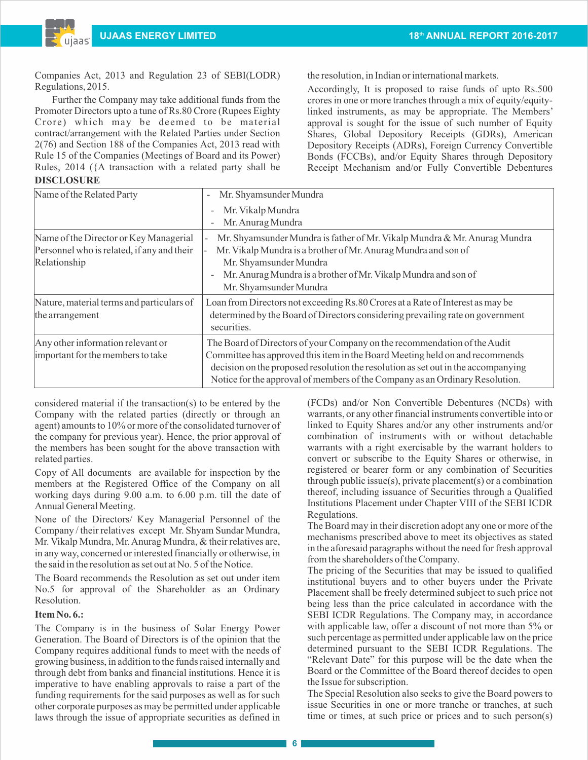Companies Act, 2013 and Regulation 23 of SEBI(LODR) Regulations, 2015.

Further the Company may take additional funds from the Promoter Directors upto a tune of Rs.80 Crore (Rupees Eighty Crore) which may be deemed to be material contract/arrangement with the Related Parties under Section 2(76) and Section 188 of the Companies Act, 2013 read with Rule 15 of the Companies (Meetings of Board and its Power) Rules, 2014 ({A transaction with a related party shall be **DISCLOSURE**

the resolution, in Indian or international markets.

Accordingly, It is proposed to raise funds of upto Rs.500 crores in one or more tranches through a mix of equity/equitylinked instruments, as may be appropriate. The Members' approval is sought for the issue of such number of Equity Shares, Global Depository Receipts (GDRs), American Depository Receipts (ADRs), Foreign Currency Convertible Bonds (FCCBs), and/or Equity Shares through Depository Receipt Mechanism and/or Fully Convertible Debentures

| Name of the Related Party                  | Mr. Shyamsunder Mundra<br>$\overline{\phantom{a}}$                                            |  |  |
|--------------------------------------------|-----------------------------------------------------------------------------------------------|--|--|
|                                            | Mr. Vikalp Mundra<br>$\overline{\phantom{0}}$                                                 |  |  |
|                                            | Mr. Anurag Mundra<br>$\overline{a}$                                                           |  |  |
| Name of the Director or Key Managerial     | Mr. Shyamsunder Mundra is father of Mr. Vikalp Mundra & Mr. Anurag Mundra                     |  |  |
| Personnel who is related, if any and their | Mr. Vikalp Mundra is a brother of Mr. Anurag Mundra and son of                                |  |  |
| Relationship                               | Mr. Shyamsunder Mundra                                                                        |  |  |
|                                            | Mr. Anurag Mundra is a brother of Mr. Vikalp Mundra and son of<br>$\overline{\phantom{0}}$    |  |  |
|                                            | Mr. Shyamsunder Mundra                                                                        |  |  |
| Nature, material terms and particulars of  | Loan from Directors not exceeding Rs.80 Crores at a Rate of Interest as may be                |  |  |
| the arrangement                            | determined by the Board of Directors considering prevailing rate on government<br>securities. |  |  |
| Any other information relevant or          | The Board of Directors of your Company on the recommendation of the Audit                     |  |  |
| important for the members to take          | Committee has approved this item in the Board Meeting held on and recommends                  |  |  |
|                                            | decision on the proposed resolution the resolution as set out in the accompanying             |  |  |
|                                            | Notice for the approval of members of the Company as an Ordinary Resolution.                  |  |  |

considered material if the transaction(s) to be entered by the Company with the related parties (directly or through an agent) amounts to 10% or more of the consolidated turnover of the company for previous year). Hence, the prior approval of the members has been sought for the above transaction with related parties.

Copy of All documents are available for inspection by the members at the Registered Office of the Company on all working days during 9.00 a.m. to 6.00 p.m. till the date of Annual General Meeting.

None of the Directors/ Key Managerial Personnel of the Company / their relatives except Mr. Shyam Sundar Mundra, Mr. Vikalp Mundra, Mr. Anurag Mundra, & their relatives are, in any way, concerned or interested financially or otherwise, in the said in the resolution as set out at No. 5 of the Notice.

The Board recommends the Resolution as set out under item No.5 for approval of the Shareholder as an Ordinary Resolution.

### **Item No. 6.:**

The Company is in the business of Solar Energy Power Generation. The Board of Directors is of the opinion that the Company requires additional funds to meet with the needs of growing business, in addition to the funds raised internally and through debt from banks and financial institutions. Hence it is imperative to have enabling approvals to raise a part of the funding requirements for the said purposes as well as for such other corporate purposes as may be permitted under applicable laws through the issue of appropriate securities as defined in

(FCDs) and/or Non Convertible Debentures (NCDs) with warrants, or any other financial instruments convertible into or linked to Equity Shares and/or any other instruments and/or combination of instruments with or without detachable warrants with a right exercisable by the warrant holders to convert or subscribe to the Equity Shares or otherwise, in registered or bearer form or any combination of Securities through public issue(s), private placement(s) or a combination thereof, including issuance of Securities through a Qualified Institutions Placement under Chapter VIII of the SEBI ICDR Regulations.

The Board may in their discretion adopt any one or more of the mechanisms prescribed above to meet its objectives as stated in the aforesaid paragraphs without the need for fresh approval from the shareholders of the Company.

The pricing of the Securities that may be issued to qualified institutional buyers and to other buyers under the Private Placement shall be freely determined subject to such price not being less than the price calculated in accordance with the SEBI ICDR Regulations. The Company may, in accordance with applicable law, offer a discount of not more than 5% or such percentage as permitted under applicable law on the price determined pursuant to the SEBI ICDR Regulations. The "Relevant Date" for this purpose will be the date when the Board or the Committee of the Board thereof decides to open the Issue for subscription.

The Special Resolution also seeks to give the Board powers to issue Securities in one or more tranche or tranches, at such time or times, at such price or prices and to such person(s)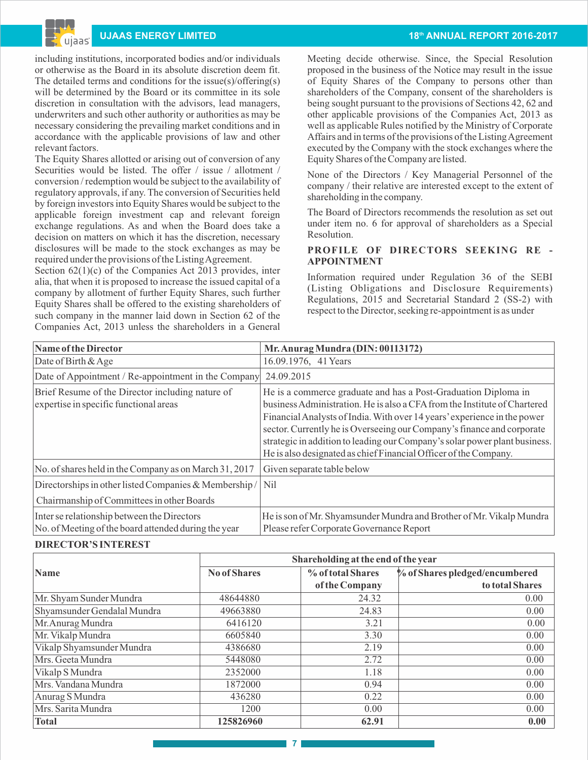ujaas

including institutions, incorporated bodies and/or individuals or otherwise as the Board in its absolute discretion deem fit. The detailed terms and conditions for the issue(s)/offering(s) will be determined by the Board or its committee in its sole discretion in consultation with the advisors, lead managers, underwriters and such other authority or authorities as may be necessary considering the prevailing market conditions and in accordance with the applicable provisions of law and other relevant factors.

The Equity Shares allotted or arising out of conversion of any Securities would be listed. The offer / issue / allotment / conversion / redemption would be subject to the availability of regulatory approvals, if any. The conversion of Securities held by foreign investors into Equity Shares would be subject to the applicable foreign investment cap and relevant foreign exchange regulations. As and when the Board does take a decision on matters on which it has the discretion, necessary disclosures will be made to the stock exchanges as may be required under the provisions of the Listing Agreement.

Section  $62(1)(c)$  of the Companies Act 2013 provides, inter alia, that when it is proposed to increase the issued capital of a company by allotment of further Equity Shares, such further Equity Shares shall be offered to the existing shareholders of such company in the manner laid down in Section 62 of the Companies Act, 2013 unless the shareholders in a General

## **THE ENERGY LIMITED 18 IN 2016-2017 18 IN 2016-2017 18 IN 2016-2017**

Meeting decide otherwise. Since, the Special Resolution proposed in the business of the Notice may result in the issue of Equity Shares of the Company to persons other than shareholders of the Company, consent of the shareholders is being sought pursuant to the provisions of Sections 42, 62 and other applicable provisions of the Companies Act, 2013 as well as applicable Rules notified by the Ministry of Corporate Affairs and in terms of the provisions of the Listing Agreement executed by the Company with the stock exchanges where the Equity Shares of the Company are listed.

None of the Directors / Key Managerial Personnel of the company / their relative are interested except to the extent of shareholding in the company.

The Board of Directors recommends the resolution as set out under item no. 6 for approval of shareholders as a Special Resolution.

## **PROFILE OF DIRECTORS SEEKING RE - APPOINTMENT**

Information required under Regulation 36 of the SEBI (Listing Obligations and Disclosure Requirements) Regulations, 2015 and Secretarial Standard 2 (SS-2) with respect to the Director, seeking re-appointment is as under

| Name of the Director                                                                                | Mr. Anurag Mundra (DIN: 00113172)                                                                                                                                                                                                                                                                                                                                                                                                                   |
|-----------------------------------------------------------------------------------------------------|-----------------------------------------------------------------------------------------------------------------------------------------------------------------------------------------------------------------------------------------------------------------------------------------------------------------------------------------------------------------------------------------------------------------------------------------------------|
| Date of Birth $&$ Age                                                                               | 16.09.1976, 41 Years                                                                                                                                                                                                                                                                                                                                                                                                                                |
| Date of Appointment / Re-appointment in the Company                                                 | 24.09.2015                                                                                                                                                                                                                                                                                                                                                                                                                                          |
| Brief Resume of the Director including nature of<br>expertise in specific functional areas          | He is a commerce graduate and has a Post-Graduation Diploma in<br>business Administration. He is also a CFA from the Institute of Chartered<br>Financial Analysts of India. With over 14 years' experience in the power<br>sector. Currently he is Overseeing our Company's finance and corporate<br>strategic in addition to leading our Company's solar power plant business.<br>He is also designated as chief Financial Officer of the Company. |
| No. of shares held in the Company as on March 31, 2017                                              | Given separate table below                                                                                                                                                                                                                                                                                                                                                                                                                          |
| Directorships in other listed Companies & Membership/                                               | N <sub>i</sub>                                                                                                                                                                                                                                                                                                                                                                                                                                      |
| Chairmanship of Committees in other Boards                                                          |                                                                                                                                                                                                                                                                                                                                                                                                                                                     |
| Inter se relationship between the Directors<br>No. of Meeting of the board attended during the year | He is son of Mr. Shyamsunder Mundra and Brother of Mr. Vikalp Mundra<br>Please refer Corporate Governance Report                                                                                                                                                                                                                                                                                                                                    |

### **DIRECTOR'S INTEREST**

|                             | Shareholding at the end of the year |                   |                                |  |
|-----------------------------|-------------------------------------|-------------------|--------------------------------|--|
| Name                        | <b>No of Shares</b>                 | % of total Shares | % of Shares pledged/encumbered |  |
|                             |                                     | of the Company    | to total Shares                |  |
| Mr. Shyam Sunder Mundra     | 48644880                            | 24.32             | 0.00                           |  |
| Shyamsunder Gendalal Mundra | 49663880                            | 24.83             | 0.00                           |  |
| Mr. Anurag Mundra           | 6416120                             | 3.21              | 0.00                           |  |
| Mr. Vikalp Mundra           | 6605840                             | 3.30              | 0.00                           |  |
| Vikalp Shyamsunder Mundra   | 4386680                             | 2.19              | 0.00                           |  |
| Mrs. Geeta Mundra           | 5448080                             | 2.72              | 0.00                           |  |
| Vikalp S Mundra             | 2352000                             | 1.18              | 0.00                           |  |
| Mrs. Vandana Mundra         | 1872000                             | 0.94              | 0.00                           |  |
| Anurag S Mundra             | 436280                              | 0.22              | 0.00                           |  |
| Mrs. Sarita Mundra          | 1200                                | 0.00              | 0.00                           |  |
| Total                       | 125826960                           | 62.91             | 0.00                           |  |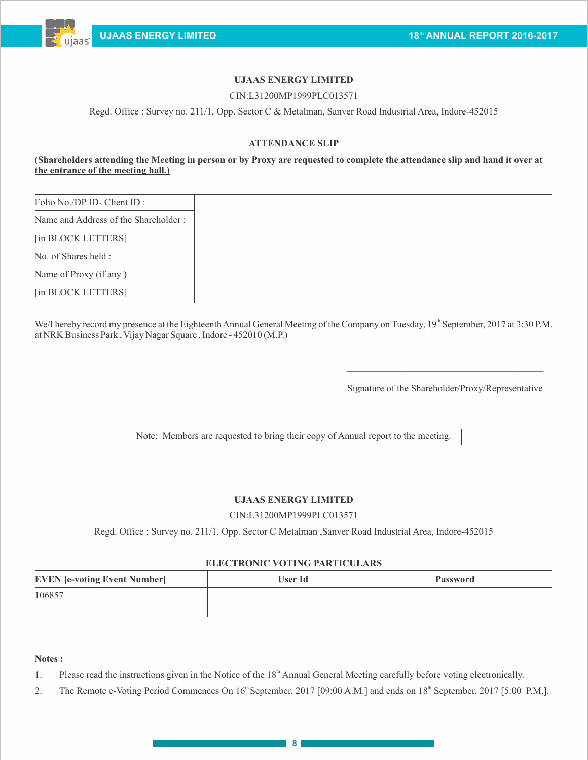

# **UJAAS ENERGY LIMITED**

## CIN:L31200MP1999PLC013571

Regd. Office : Survey no. 211/1, Opp. Sector C & Metalman, Sanver Road Industrial Area, Indore-452015

## **ATTENDANCE SLIP**

## **(Shareholders attending the Meeting in person or by Proxy are requested to complete the attendance slip and hand it over at the entrance of the meeting hall.)**

| Folio No./DP ID- Client ID :         |
|--------------------------------------|
| Name and Address of the Shareholder: |
| [in BLOCK LETTERS]                   |
| No. of Shares held :                 |
| Name of Proxy (if any)               |
| [in BLOCK LETTERS]                   |

We/I hereby record my presence at the Eighteenth Annual General Meeting of the Company on Tuesday,  $19<sup>th</sup>$  September, 2017 at 3:30 P.M. at NRK Business Park , Vijay Nagar Square , Indore - 452010 (M.P.)

Signature of the Shareholder/Proxy/Representative

 $\mathcal{L}_\mathcal{L}$  , and the set of the set of the set of the set of the set of the set of the set of the set of the set of the set of the set of the set of the set of the set of the set of the set of the set of the set of th

Note: Members are requested to bring their copy of Annual report to the meeting.

### **UJAAS ENERGY LIMITED**

### CIN:L31200MP1999PLC013571

Regd. Office : Survey no. 211/1, Opp. Sector C Metalman ,Sanver Road Industrial Area, Indore-452015

### **ELECTRONIC VOTING PARTICULARS**

| <b>EVEN</b> [e-voting Event Number] | <b>User Id</b> | <b>Password</b> |
|-------------------------------------|----------------|-----------------|
| 106857                              |                |                 |
|                                     |                |                 |

### **Notes :**

1. Please read the instructions given in the Notice of the 18<sup>th</sup> Annual General Meeting carefully before voting electronically.

2. The Remote e-Voting Period Commences On  $16^{\text{th}}$  September, 2017 [09:00 A.M.] and ends on  $18^{\text{th}}$  September, 2017 [5:00 P.M.].

**8**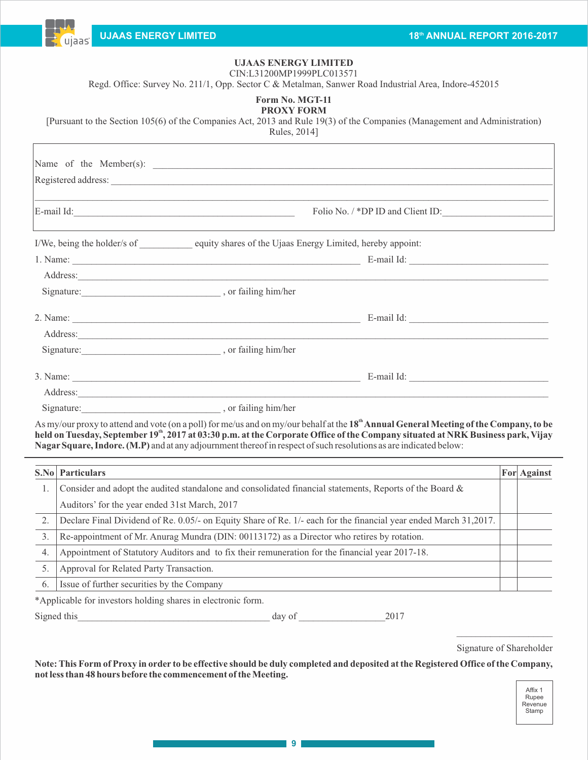

# **UJAAS ENERGY LIMITED**

CIN:L31200MP1999PLC013571

Regd. Office: Survey No. 211/1, Opp. Sector C & Metalman, Sanwer Road Industrial Area, Indore-452015

| Form No. MGT-11   |  |
|-------------------|--|
| <b>PROXY FORM</b> |  |

[Pursuant to the Section 105(6) of the Companies Act, 2013 and Rule 19(3) of the Companies (Management and Administration)

Rules, 2014]

|                                                                                                                                                                                                                                | Registered address:                                                                                                                                                                                                            |  |
|--------------------------------------------------------------------------------------------------------------------------------------------------------------------------------------------------------------------------------|--------------------------------------------------------------------------------------------------------------------------------------------------------------------------------------------------------------------------------|--|
| ,我们也不能在这里的时候,我们也不能在这里的时候,我们也不能会在这里的时候,我们也不能会在这里的时候,我们也不能会在这里的时候,我们也不能会在这里的时候,我们也                                                                                                                                               | Folio No. / *DP ID and Client ID:                                                                                                                                                                                              |  |
| I/We, being the holder/s of equity shares of the Ujaas Energy Limited, hereby appoint:                                                                                                                                         |                                                                                                                                                                                                                                |  |
|                                                                                                                                                                                                                                | 1. Name: E-mail Id:                                                                                                                                                                                                            |  |
|                                                                                                                                                                                                                                | Address: Note and the set of the set of the set of the set of the set of the set of the set of the set of the set of the set of the set of the set of the set of the set of the set of the set of the set of the set of the se |  |
| Signature: or failing him/her , or failing him/her                                                                                                                                                                             |                                                                                                                                                                                                                                |  |
| 2. Name: 2008. [2016] 2. Name: 2008. [2016] 2. Name: 2008. [2016] 2. Name: 2008. [2016] 2. Name: 2008. [2016] 2. [2016] 2. [2016] 2. [2016] 2. [2016] 2. [2016] 2. [2016] 2. [2016] 2. [2016] 2. [2016] 2. [2016] 2. [2016] 2. |                                                                                                                                                                                                                                |  |
| Address:                                                                                                                                                                                                                       |                                                                                                                                                                                                                                |  |
| Signature: or failing him/her                                                                                                                                                                                                  |                                                                                                                                                                                                                                |  |
|                                                                                                                                                                                                                                | E-mail Id:                                                                                                                                                                                                                     |  |
| Address:                                                                                                                                                                                                                       |                                                                                                                                                                                                                                |  |
|                                                                                                                                                                                                                                |                                                                                                                                                                                                                                |  |

**th** As my/our proxy to attend and vote (on a poll) for me/us and on my/our behalf at the **18 Annual General Meeting of the Company, to be th held on Tuesday, September 19 , 2017 at 03:30 p.m. at the Corporate Office of the Company situated at NRK Business park, Vijay NagarSquare, Indore. (M.P)** and at any adjournment thereof in respect of such resolutions as are indicated below:

|    | <b>S.No</b> Particulars                                                                                          | For Against |
|----|------------------------------------------------------------------------------------------------------------------|-------------|
|    | Consider and adopt the audited standalone and consolidated financial statements, Reports of the Board &          |             |
|    | Auditors' for the year ended 31st March, 2017                                                                    |             |
| 2. | Declare Final Dividend of Re. 0.05/- on Equity Share of Re. 1/- each for the financial year ended March 31,2017. |             |
| 3. | Re-appointment of Mr. Anurag Mundra (DIN: 00113172) as a Director who retires by rotation.                       |             |
| 4. | Appointment of Statutory Auditors and to fix their remuneration for the financial year 2017-18.                  |             |
|    | Approval for Related Party Transaction.                                                                          |             |
| 6. | Issue of further securities by the Company                                                                       |             |

\*Applicable for investors holding shares in electronic form.

Signed this day of 2017

 $\mathcal{L}=\mathcal{L}^{\mathcal{L}}$  , where  $\mathcal{L}^{\mathcal{L}}$  , we have the set of the set of the set of the set of the set of the set of the set of the set of the set of the set of the set of the set of the set of the set of the set of Signature of Shareholder

**Note: This Form of Proxy in order to be effective should be duly completed and deposited at the Registered Office of the Company, not less than 48 hours before the commencement of the Meeting.**